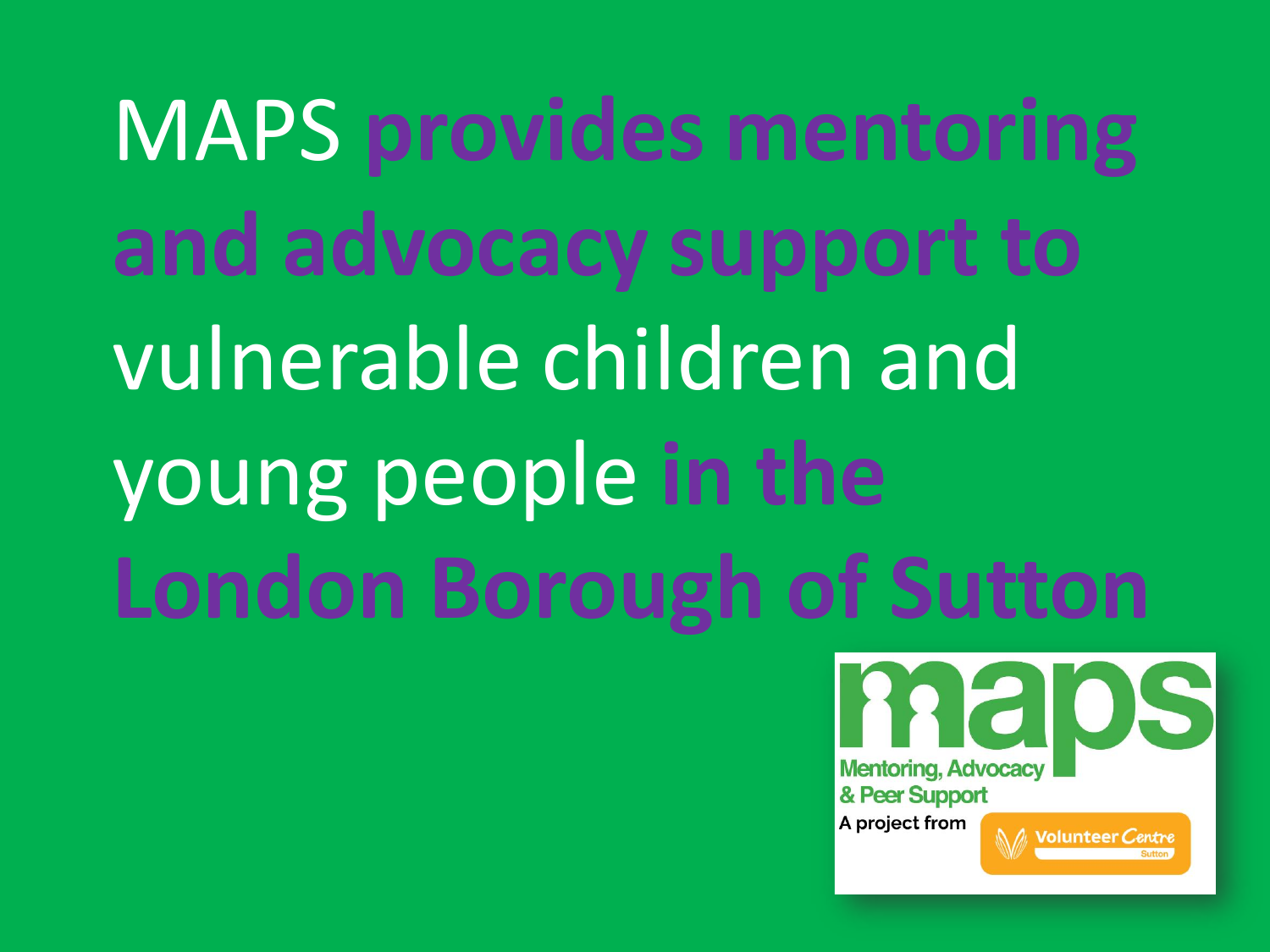MAPS **provides mentoring and advocacy support to** vulnerable children and young people **in the London Borough of Sutton**

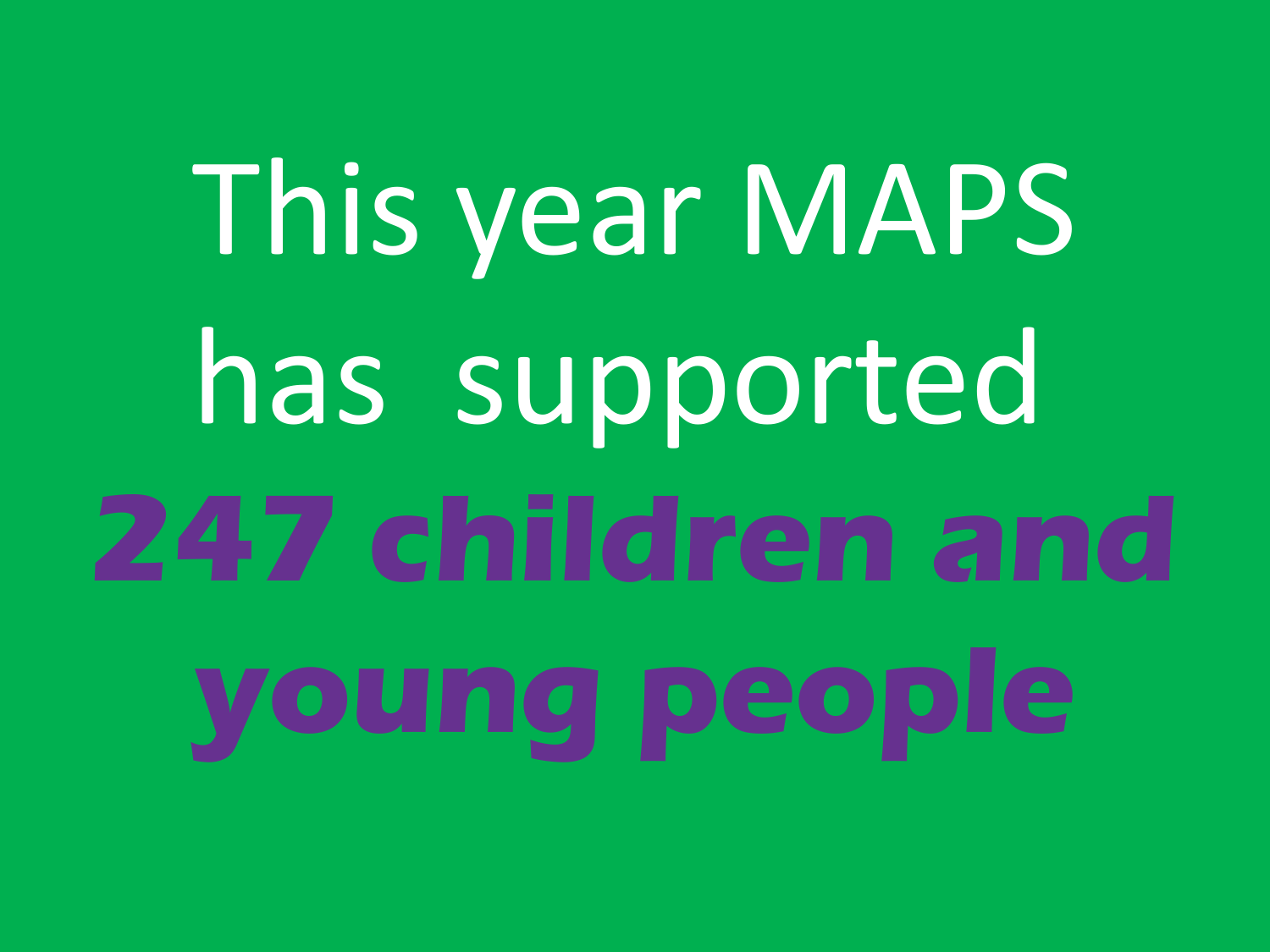This year MAPS has supported **247 children and young people**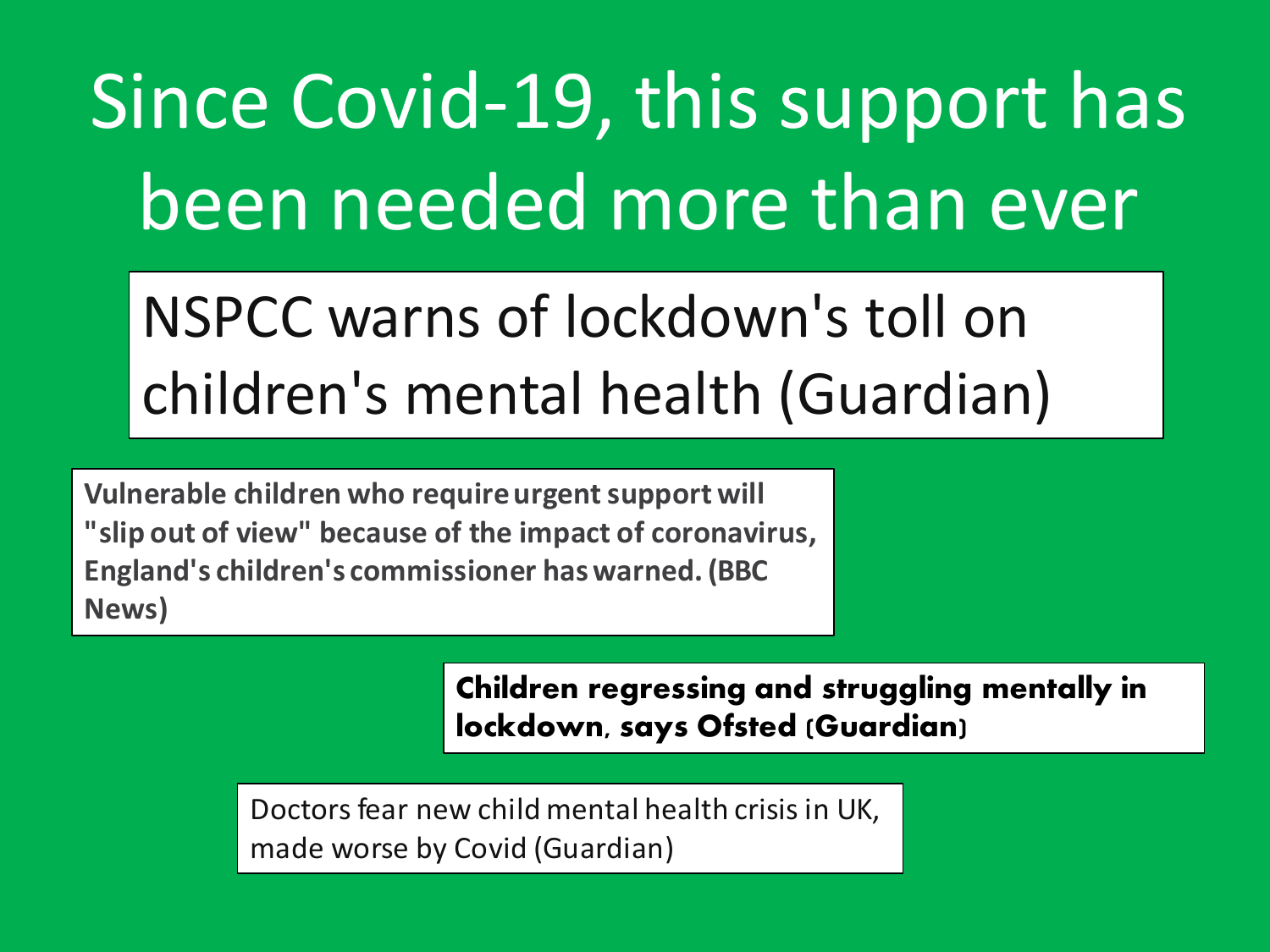Since Covid-19, this support has been needed more than ever

### NSPCC warns of lockdown's toll on children's mental health (Guardian)

**Vulnerable children who require urgent support will "slip out of view" because of the impact of coronavirus, England's children's commissioner has warned. (BBC News)**

> **Children regressing and struggling mentally in lockdown, says Ofsted (Guardian)**

Doctors fear new child mental health crisis in UK, made worse by Covid (Guardian)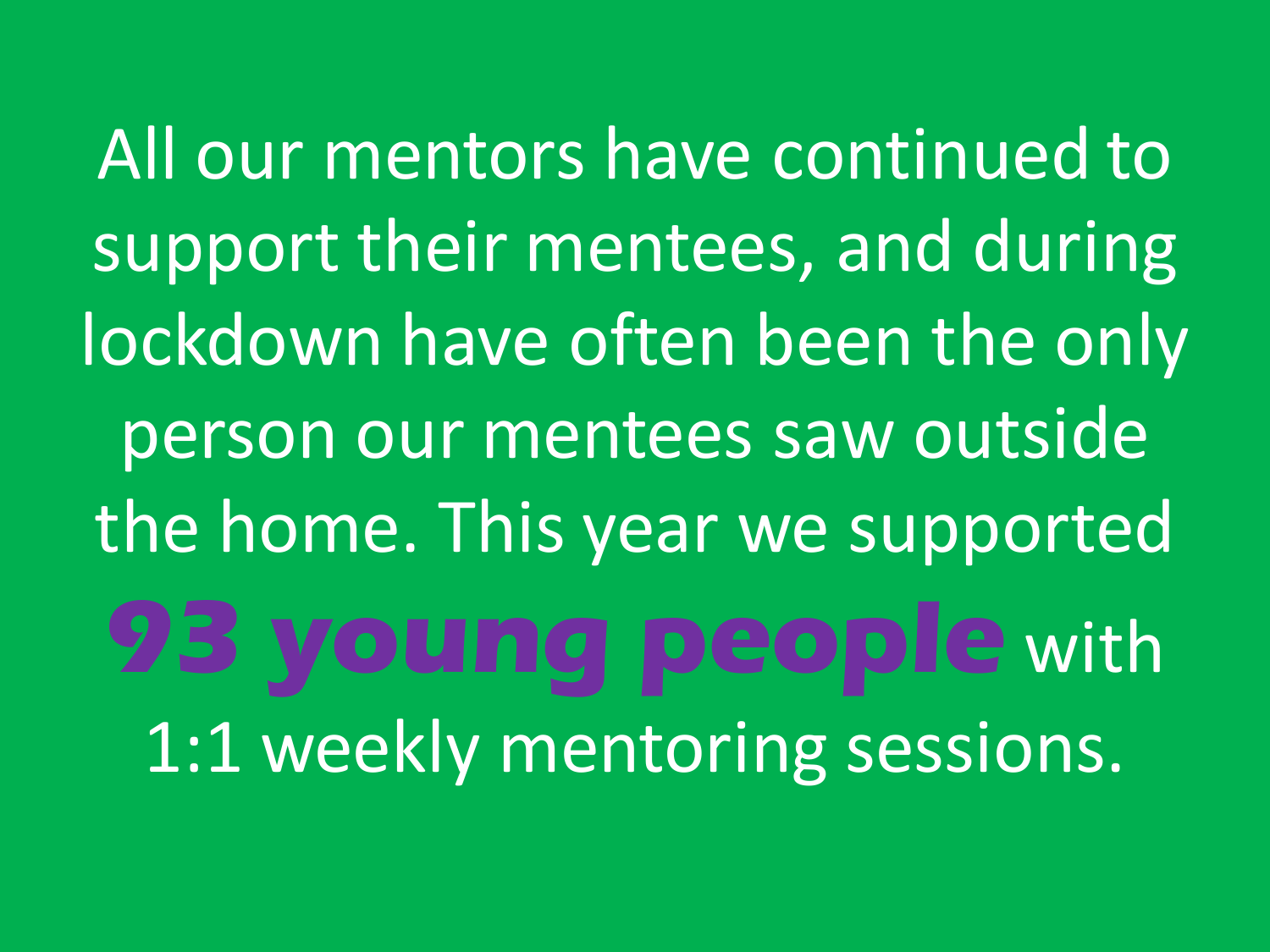All our mentors have continued to support their mentees, and during lockdown have often been the only person our mentees saw outside the home. This year we supported **93 young people** with 1:1 weekly mentoring sessions.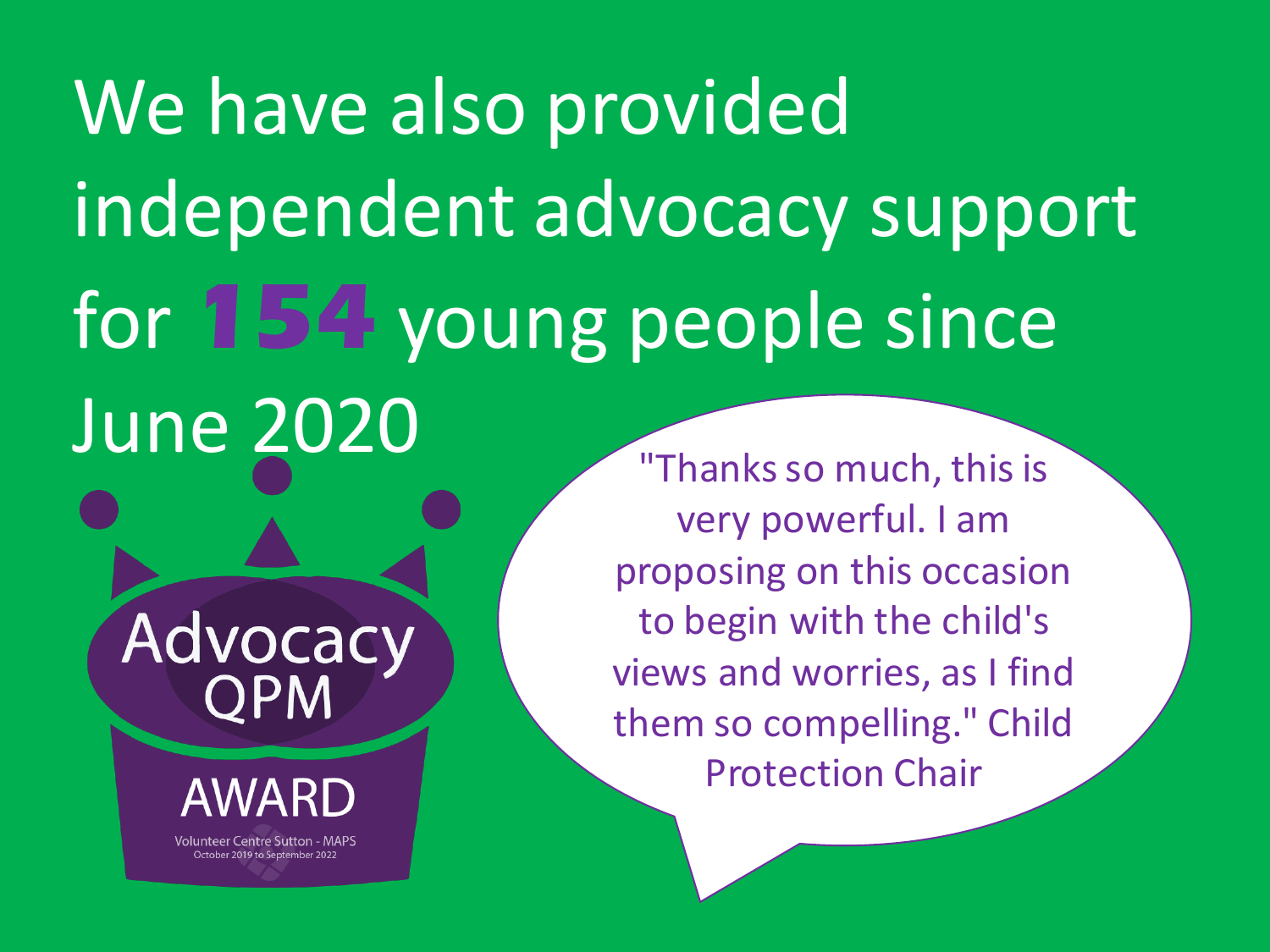We have also provided independent advocacy support for **154** young people since June 2020

Advocacy

**Volunteer Centre Sutton - MAPS** 

October 2019 to September 2022

"Thanks so much, this is very powerful. I am proposing on this occasion to begin with the child's views and worries, as I find them so compelling." Child Protection Chair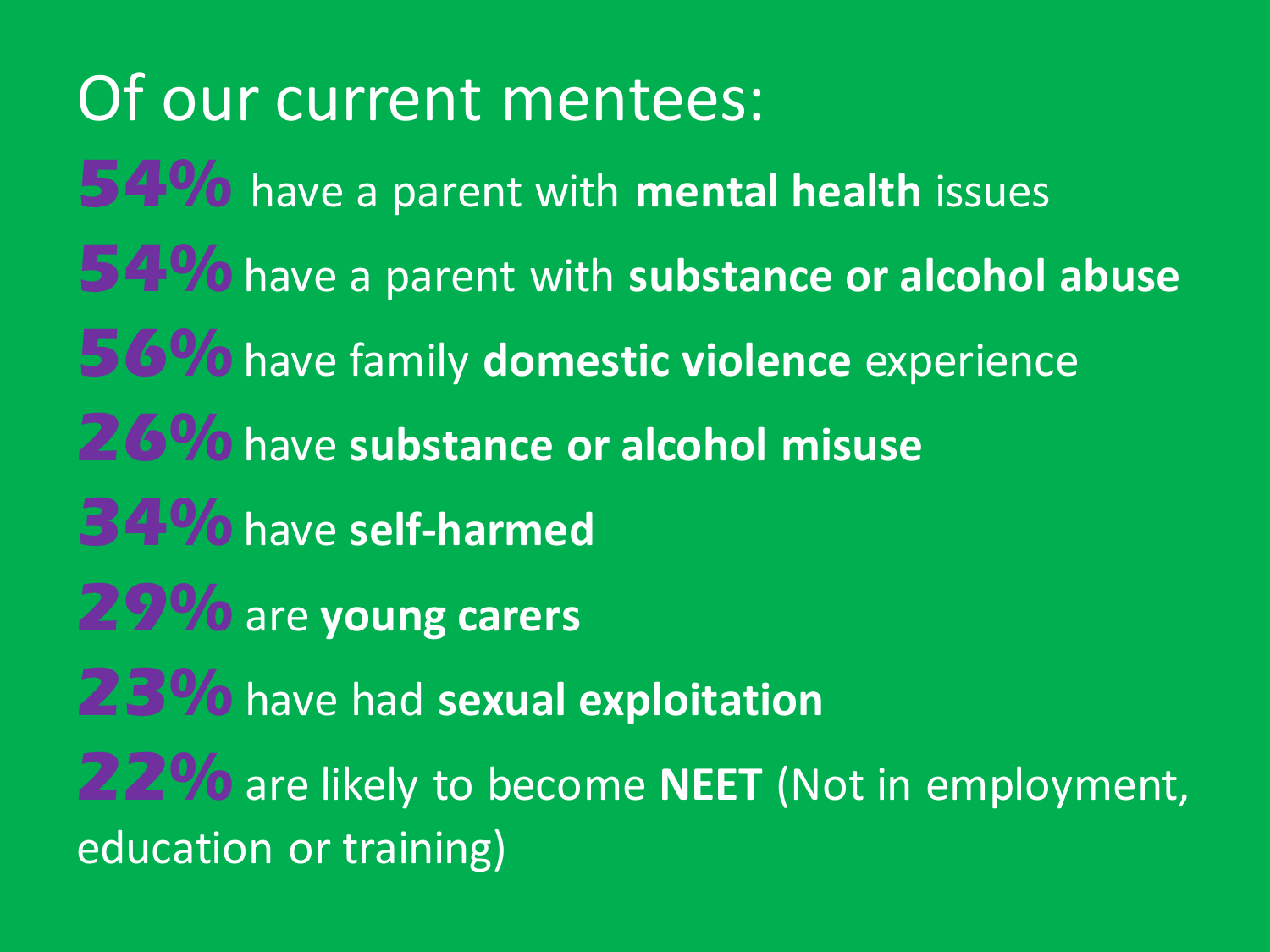Of our current mentees:

**54%** have a parent with **mental health** issues **54. Wo** have a parent with **substance or alcohol abuse** 

**56%** have family domestic violence experience

**26%** have **substance or alcohol misuse**

**34%** have **self-harmed**

**29%** are **young carers**

**23%** have had sexual exploitation

**22%** are likely to become **NEET** (Not in employment, education or training)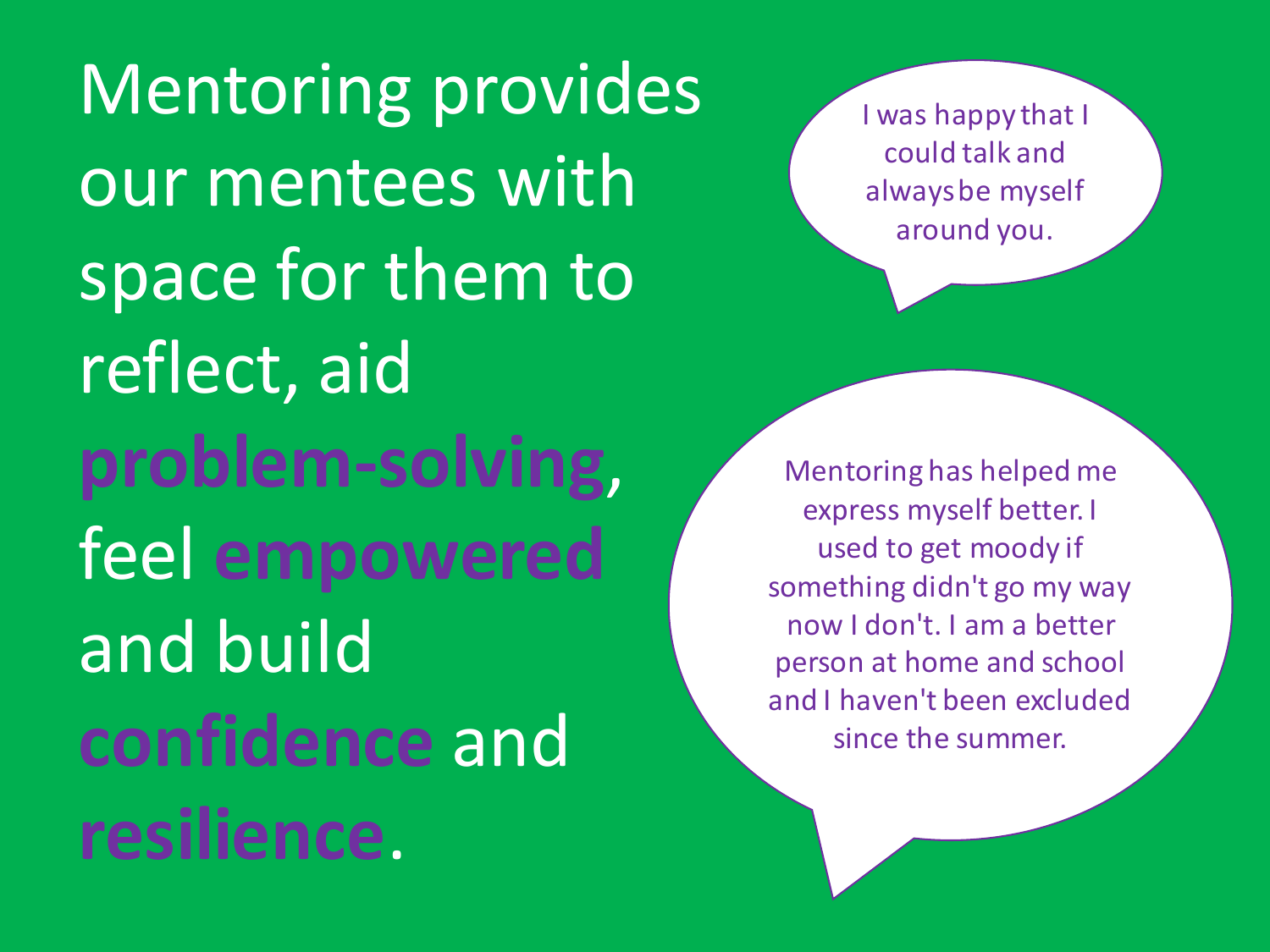Mentoring provides our mentees with space for them to reflect, aid **problem-solving**, feel **empowered** and build **confidence** and **resilience**.

I was happy that I could talk and always be myself around you.

Mentoring has helped me express myself better. I used to get moody if something didn't go my way now I don't. I am a better person at home and school and I haven't been excluded since the summer.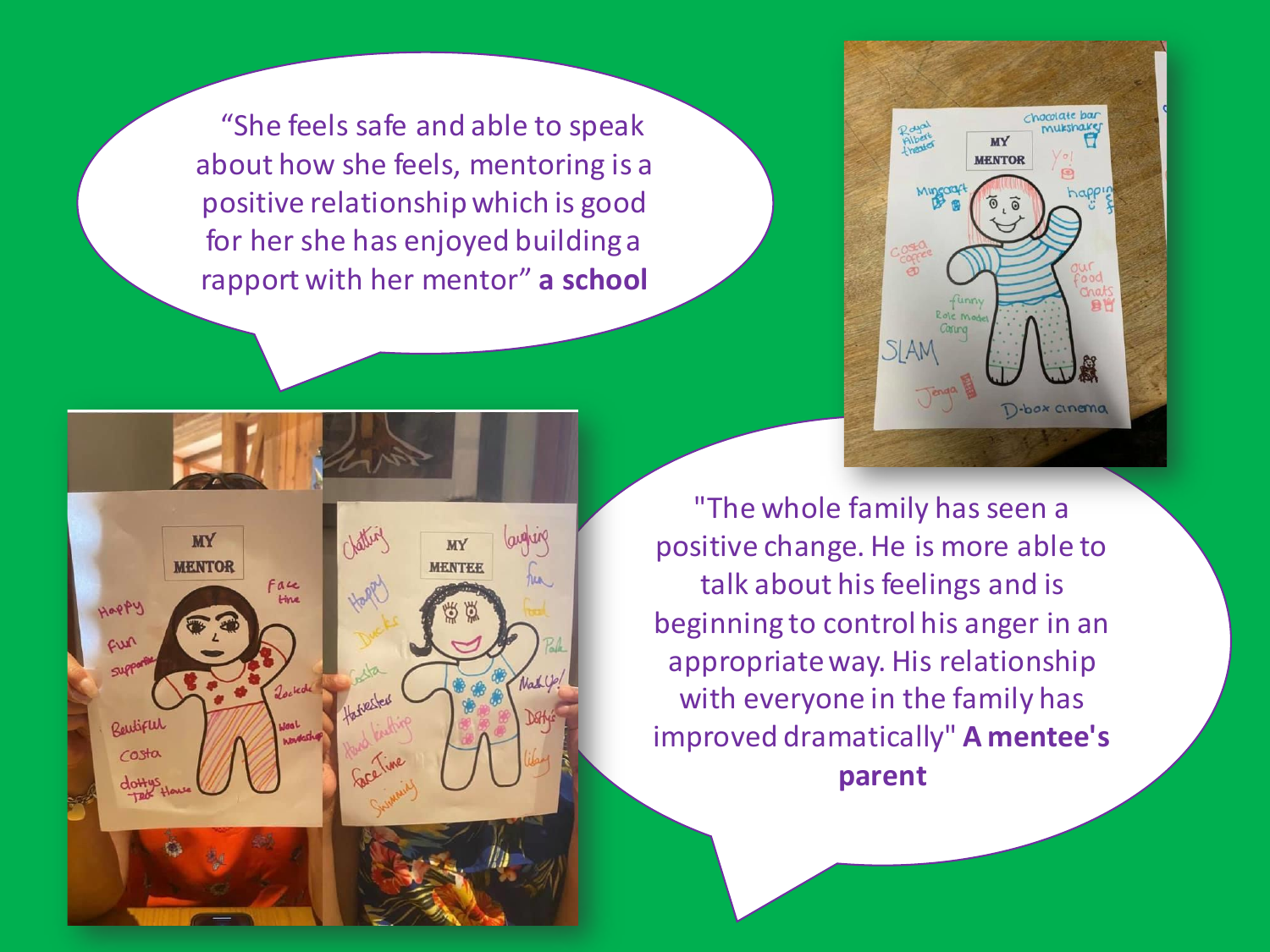"She feels safe and able to speak about how she feels, mentoring is a positive relationship which is good for her she has enjoyed building a rapport with her mentor" **a school**



Solid augus **MY MY MENTOR MENTEE** Happy Face *<u>time</u>* Mappy cun Jocked Harvester Relitified costa doH

"The whole family has seen a positive change. He is more able to talk about his feelings and is beginning to control his anger in an appropriate way. His relationship with everyone in the family has improved dramatically" **A mentee's parent**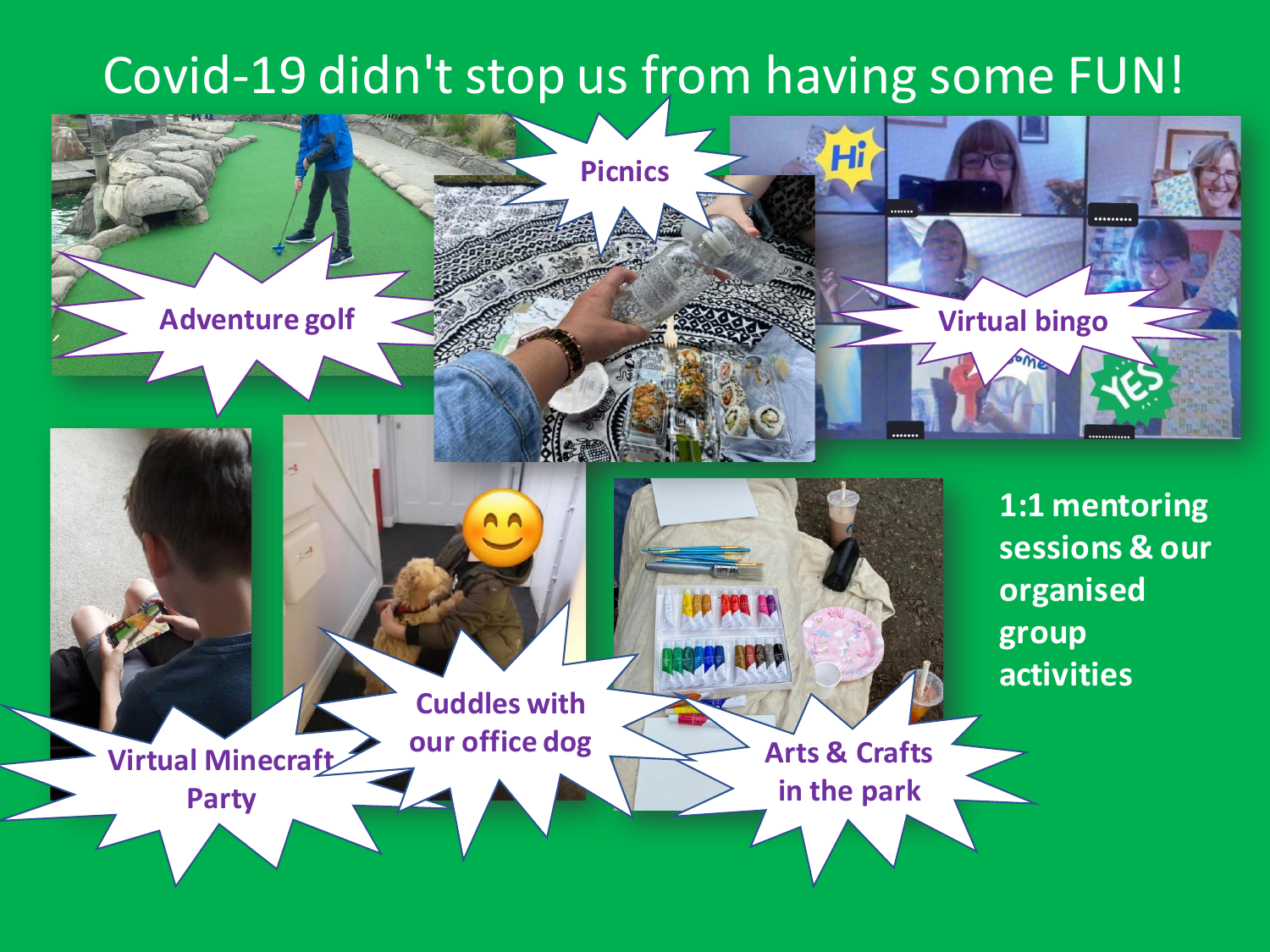#### Covid-19 didn't stop us from having some FUN!

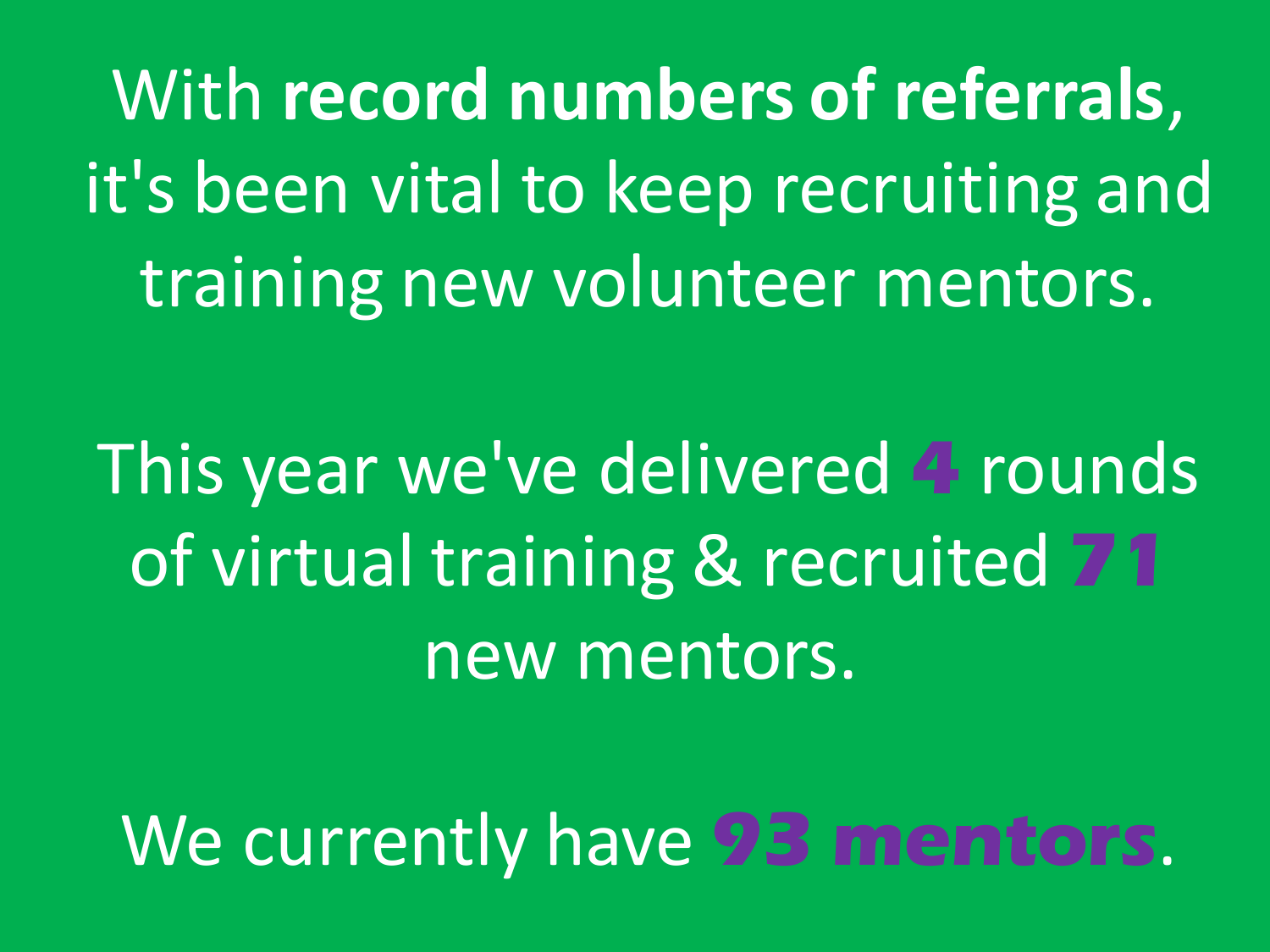With **record numbers of referrals**, it's been vital to keep recruiting and training new volunteer mentors.

This year we've delivered **4** rounds of virtual training & recruited **71** new mentors.

We currently have **93 mentors**.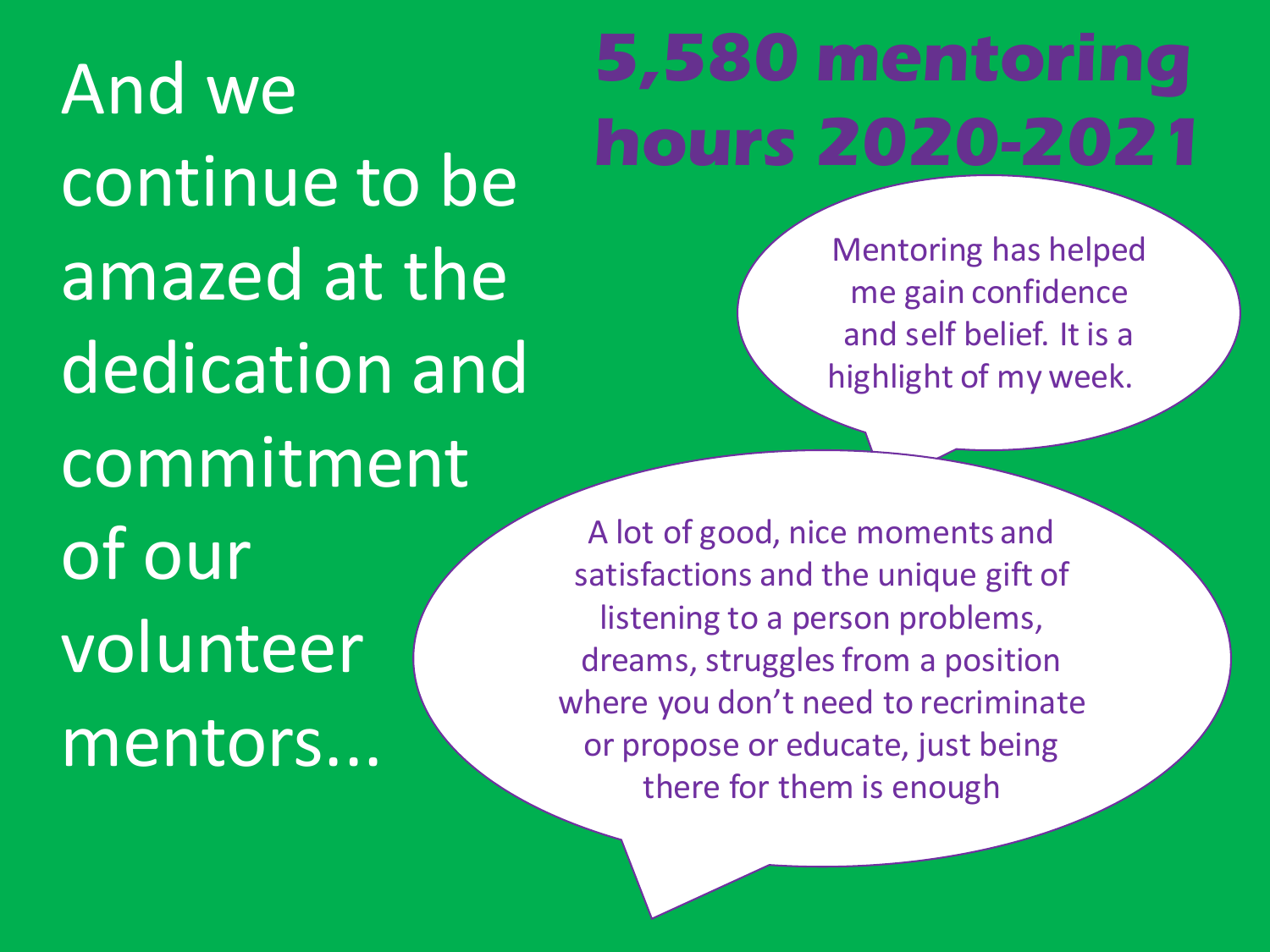And we continue to be amazed at the dedication and commitment of our volunteer mentors...

### **5,580 mentoring hours 2020-2021**

Mentoring has helped me gain confidence and self belief. It is a highlight of my week.

A lot of good, nice moments and satisfactions and the unique gift of listening to a person problems, dreams, struggles from a position where you don't need to recriminate or propose or educate, just being there for them is enough